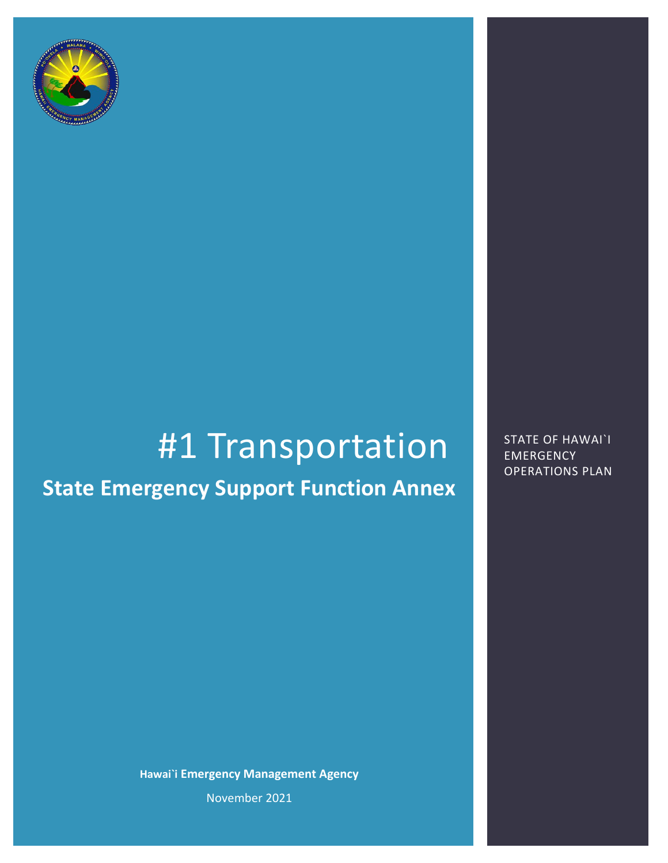

# #1 Transportation STATE OF HAWAI`I

## **State Emergency Support Function Annex**

**Hawai`i Emergency Management Agency** November 2021

EMERGENCY OPERATIONS PLAN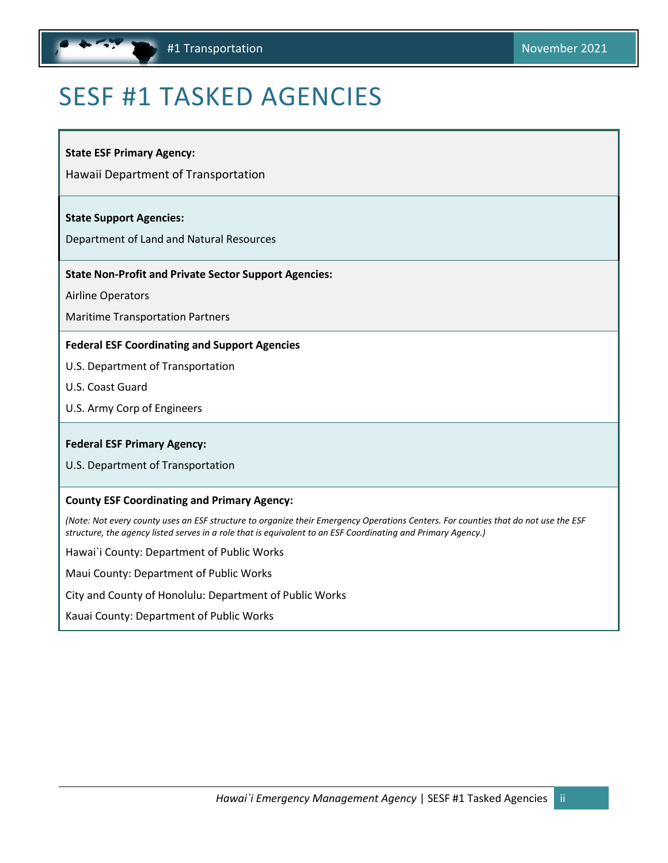## <span id="page-1-1"></span><span id="page-1-0"></span>SESF #1 TASKED AGENCIES

**State ESF Primary Agency:**

Hawaii Department of Transportation

#### **State Support Agencies:**

Department of Land and Natural Resources

#### **State Non-Profit and Private Sector Support Agencies:**

Airline Operators

Maritime Transportation Partners

#### **Federal ESF Coordinating and Support Agencies**

U.S. Department of Transportation

- U.S. Coast Guard
- U.S. Army Corp of Engineers

#### **Federal ESF Primary Agency:**

U.S. Department of Transportation

#### **County ESF Coordinating and Primary Agency:**

*(Note: Not every county uses an ESF structure to organize their Emergency Operations Centers. For counties that do not use the ESF structure, the agency listed serves in a role that is equivalent to an ESF Coordinating and Primary Agency.)*

Hawai`i County: Department of Public Works

Maui County: Department of Public Works

City and County of Honolulu: Department of Public Works

Kauai County: Department of Public Works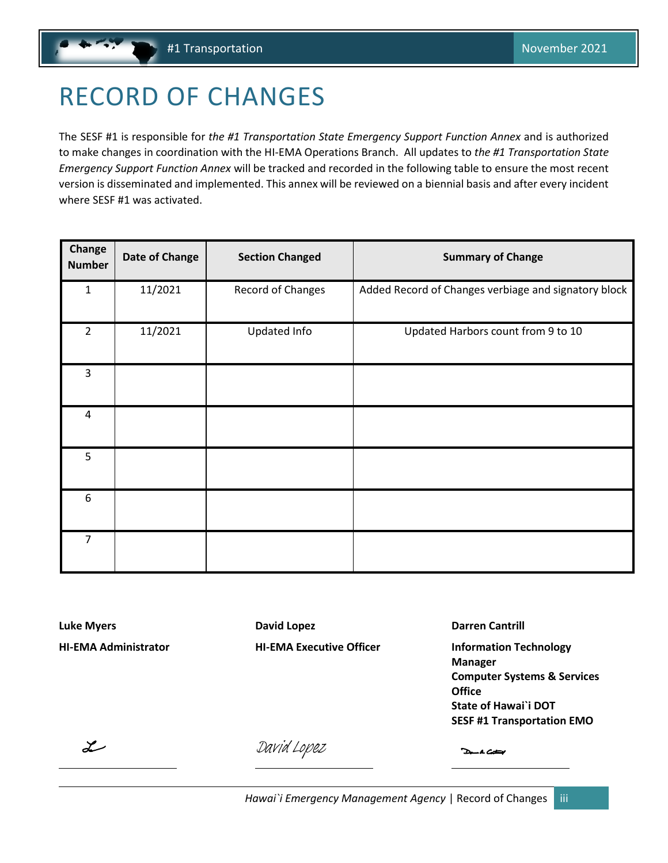## <span id="page-2-1"></span><span id="page-2-0"></span>RECORD OF CHANGES

The SESF #1 is responsible for *the #1 Transportation State Emergency Support Function Annex* and is authorized to make changes in coordination with the HI-EMA Operations Branch. All updates to *the #1 Transportation State Emergency Support Function Annex* will be tracked and recorded in the following table to ensure the most recent version is disseminated and implemented. This annex will be reviewed on a biennial basis and after every incident where SESF #1 was activated.

| Change<br><b>Number</b> | <b>Date of Change</b> | <b>Section Changed</b> | <b>Summary of Change</b>                             |
|-------------------------|-----------------------|------------------------|------------------------------------------------------|
| $\mathbf{1}$            | 11/2021               | Record of Changes      | Added Record of Changes verbiage and signatory block |
| $\overline{2}$          | 11/2021               | Updated Info           | Updated Harbors count from 9 to 10                   |
| 3                       |                       |                        |                                                      |
| $\overline{4}$          |                       |                        |                                                      |
| 5                       |                       |                        |                                                      |
| 6                       |                       |                        |                                                      |
| $\overline{7}$          |                       |                        |                                                      |

**Luke Myers David Lopez Darren Cantrill**

**HI-EMA Administrator HI-EMA Executive Officer Information Technology Manager Computer Systems & Services Office State of Hawai`i DOT SESF #1 Transportation EMO**

 $\overline{\mathscr{L}}$ 

[David Lopez](https://stateofhawaii.na1.adobesign.com/verifier?tx=CBJCHBCAABAAMODx5cfWXjShU-_0qpJCCbgUgCpX6BDq)

Dan A Catal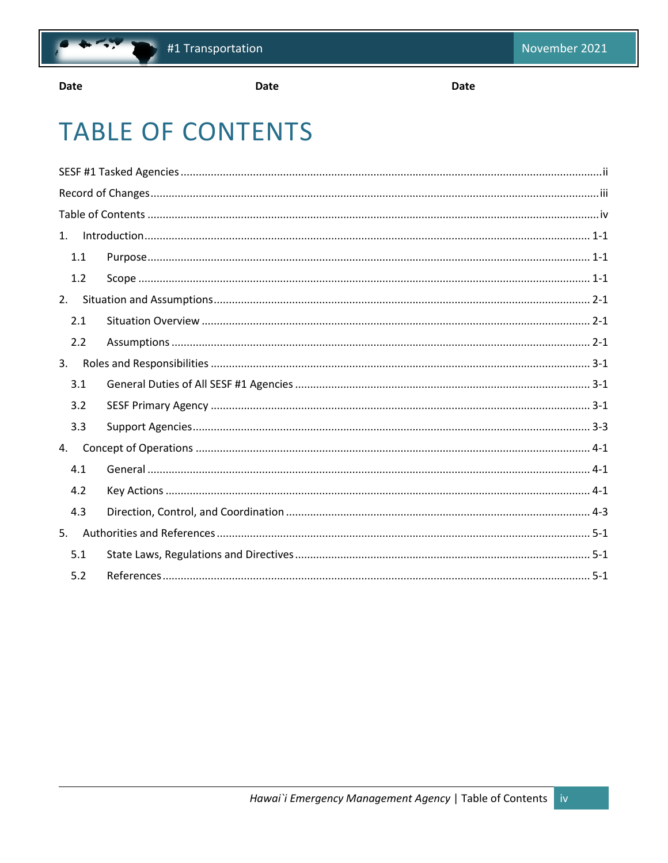

Date

**Date** 

**Date** 

## <span id="page-3-0"></span>**TABLE OF CONTENTS**

| 1.1 |  |  |  |  |
|-----|--|--|--|--|
| 1.2 |  |  |  |  |
|     |  |  |  |  |
| 2.1 |  |  |  |  |
| 2.2 |  |  |  |  |
|     |  |  |  |  |
| 3.1 |  |  |  |  |
| 3.2 |  |  |  |  |
| 3.3 |  |  |  |  |
|     |  |  |  |  |
| 4.1 |  |  |  |  |
| 4.2 |  |  |  |  |
| 4.3 |  |  |  |  |
|     |  |  |  |  |
| 5.1 |  |  |  |  |
| 5.2 |  |  |  |  |
|     |  |  |  |  |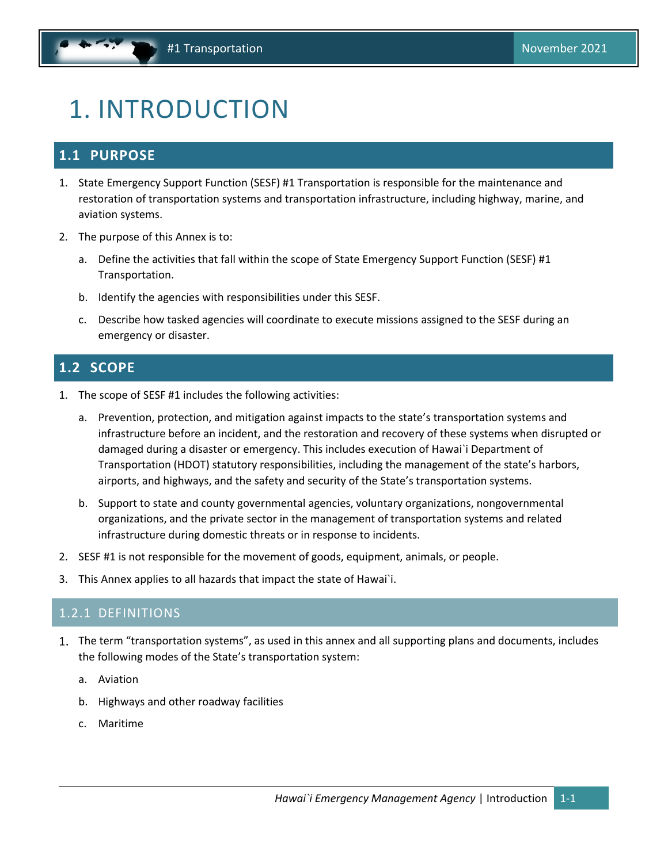## <span id="page-4-3"></span><span id="page-4-0"></span>1. INTRODUCTION

### <span id="page-4-1"></span>**1.1 PURPOSE**

- 1. State Emergency Support Function (SESF) #1 Transportation is responsible for the maintenance and restoration of transportation systems and transportation infrastructure, including highway, marine, and aviation systems.
- 2. The purpose of this Annex is to:
	- a. Define the activities that fall within the scope of State Emergency Support Function (SESF) #1 Transportation.
	- b. Identify the agencies with responsibilities under this SESF.
	- c. Describe how tasked agencies will coordinate to execute missions assigned to the SESF during an emergency or disaster.

### <span id="page-4-2"></span>**1.2 SCOPE**

- 1. The scope of SESF #1 includes the following activities:
	- a. Prevention, protection, and mitigation against impacts to the state's transportation systems and infrastructure before an incident, and the restoration and recovery of these systems when disrupted or damaged during a disaster or emergency. This includes execution of Hawai`i Department of Transportation (HDOT) statutory responsibilities, including the management of the state's harbors, airports, and highways, and the safety and security of the State's transportation systems.
	- b. Support to state and county governmental agencies, voluntary organizations, nongovernmental organizations, and the private sector in the management of transportation systems and related infrastructure during domestic threats or in response to incidents.
- 2. SESF #1 is not responsible for the movement of goods, equipment, animals, or people.
- 3. This Annex applies to all hazards that impact the state of Hawai`i.

#### 1.2.1 DEFINITIONS

- The term "transportation systems", as used in this annex and all supporting plans and documents, includes the following modes of the State's transportation system:
	- a. Aviation
	- b. Highways and other roadway facilities
	- c. Maritime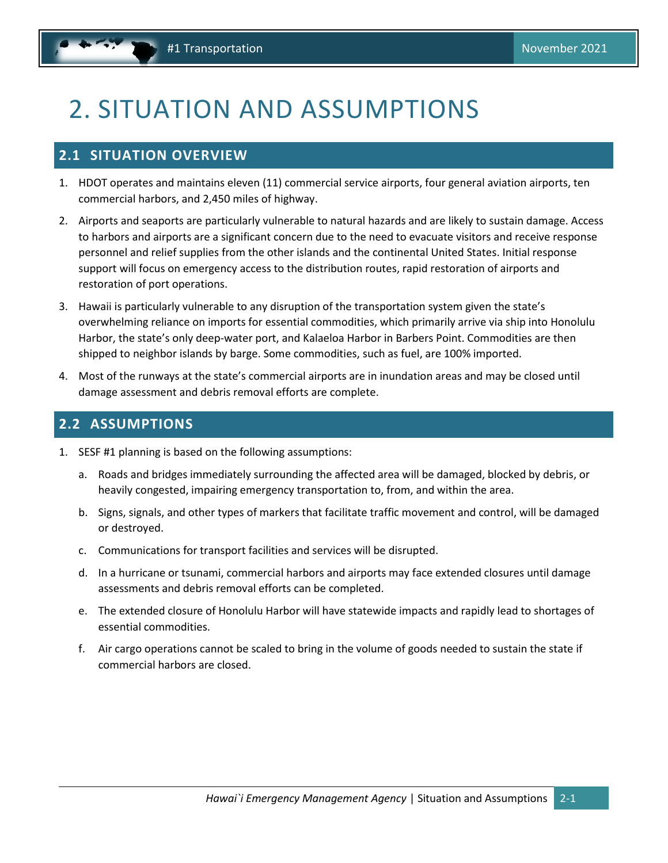## <span id="page-5-3"></span><span id="page-5-0"></span>2. SITUATION AND ASSUMPTIONS

### <span id="page-5-1"></span>**2.1 SITUATION OVERVIEW**

- 1. HDOT operates and maintains eleven (11) commercial service airports, four general aviation airports, ten commercial harbors, and 2,450 miles of highway.
- 2. Airports and seaports are particularly vulnerable to natural hazards and are likely to sustain damage. Access to harbors and airports are a significant concern due to the need to evacuate visitors and receive response personnel and relief supplies from the other islands and the continental United States. Initial response support will focus on emergency access to the distribution routes, rapid restoration of airports and restoration of port operations.
- 3. Hawaii is particularly vulnerable to any disruption of the transportation system given the state's overwhelming reliance on imports for essential commodities, which primarily arrive via ship into Honolulu Harbor, the state's only deep-water port, and Kalaeloa Harbor in Barbers Point. Commodities are then shipped to neighbor islands by barge. Some commodities, such as fuel, are 100% imported.
- 4. Most of the runways at the state's commercial airports are in inundation areas and may be closed until damage assessment and debris removal efforts are complete.

## <span id="page-5-2"></span>**2.2 ASSUMPTIONS**

- 1. SESF #1 planning is based on the following assumptions:
	- a. Roads and bridges immediately surrounding the affected area will be damaged, blocked by debris, or heavily congested, impairing emergency transportation to, from, and within the area.
	- b. Signs, signals, and other types of markers that facilitate traffic movement and control, will be damaged or destroyed.
	- c. Communications for transport facilities and services will be disrupted.
	- d. In a hurricane or tsunami, commercial harbors and airports may face extended closures until damage assessments and debris removal efforts can be completed.
	- e. The extended closure of Honolulu Harbor will have statewide impacts and rapidly lead to shortages of essential commodities.
	- f. Air cargo operations cannot be scaled to bring in the volume of goods needed to sustain the state if commercial harbors are closed.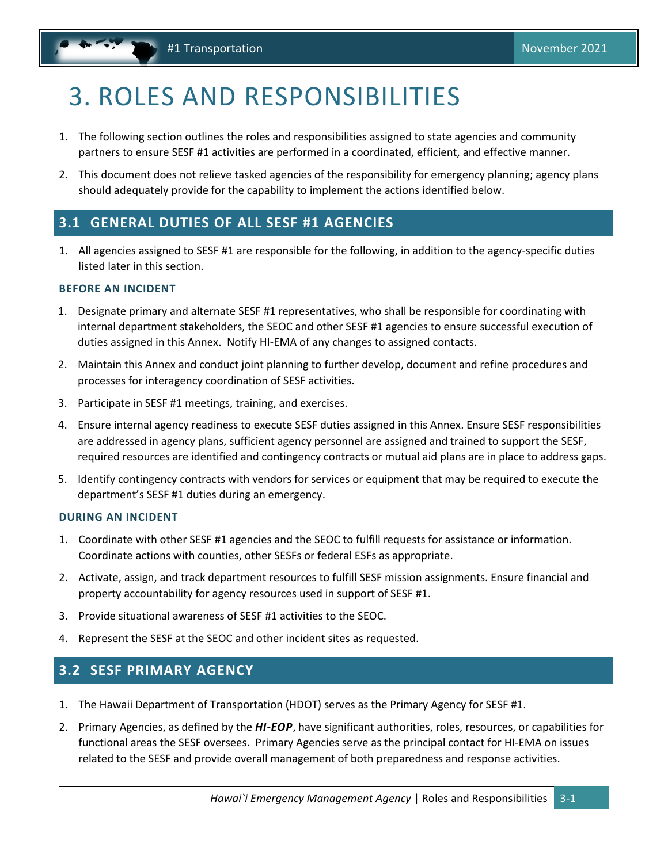## <span id="page-6-3"></span><span id="page-6-0"></span>3. ROLES AND RESPONSIBILITIES

- 1. The following section outlines the roles and responsibilities assigned to state agencies and community partners to ensure SESF #1 activities are performed in a coordinated, efficient, and effective manner.
- 2. This document does not relieve tasked agencies of the responsibility for emergency planning; agency plans should adequately provide for the capability to implement the actions identified below.

### <span id="page-6-1"></span>**3.1 GENERAL DUTIES OF ALL SESF #1 AGENCIES**

1. All agencies assigned to SESF #1 are responsible for the following, in addition to the agency-specific duties listed later in this section.

#### **BEFORE AN INCIDENT**

- 1. Designate primary and alternate SESF #1 representatives, who shall be responsible for coordinating with internal department stakeholders, the SEOC and other SESF #1 agencies to ensure successful execution of duties assigned in this Annex. Notify HI-EMA of any changes to assigned contacts.
- 2. Maintain this Annex and conduct joint planning to further develop, document and refine procedures and processes for interagency coordination of SESF activities.
- 3. Participate in SESF #1 meetings, training, and exercises.
- 4. Ensure internal agency readiness to execute SESF duties assigned in this Annex. Ensure SESF responsibilities are addressed in agency plans, sufficient agency personnel are assigned and trained to support the SESF, required resources are identified and contingency contracts or mutual aid plans are in place to address gaps.
- 5. Identify contingency contracts with vendors for services or equipment that may be required to execute the department's SESF #1 duties during an emergency.

#### **DURING AN INCIDENT**

- 1. Coordinate with other SESF #1 agencies and the SEOC to fulfill requests for assistance or information. Coordinate actions with counties, other SESFs or federal ESFs as appropriate.
- 2. Activate, assign, and track department resources to fulfill SESF mission assignments. Ensure financial and property accountability for agency resources used in support of SESF #1.
- 3. Provide situational awareness of SESF #1 activities to the SEOC.
- 4. Represent the SESF at the SEOC and other incident sites as requested.

### <span id="page-6-2"></span>**3.2 SESF PRIMARY AGENCY**

- 1. The Hawaii Department of Transportation (HDOT) serves as the Primary Agency for SESF #1.
- 2. Primary Agencies, as defined by the *HI-EOP*, have significant authorities, roles, resources, or capabilities for functional areas the SESF oversees. Primary Agencies serve as the principal contact for HI-EMA on issues related to the SESF and provide overall management of both preparedness and response activities.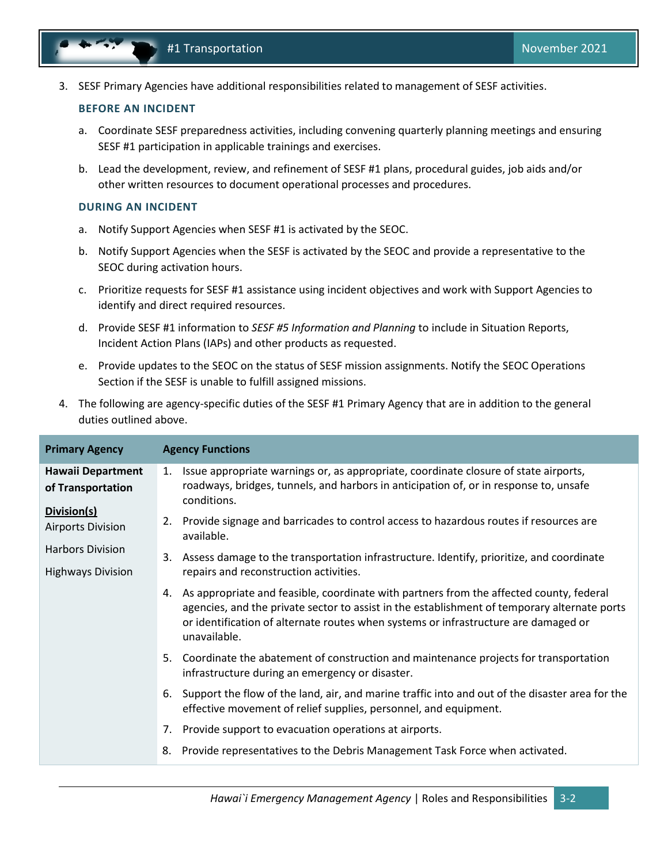3. SESF Primary Agencies have additional responsibilities related to management of SESF activities.

#### **BEFORE AN INCIDENT**

- a. Coordinate SESF preparedness activities, including convening quarterly planning meetings and ensuring SESF #1 participation in applicable trainings and exercises.
- b. Lead the development, review, and refinement of SESF #1 plans, procedural guides, job aids and/or other written resources to document operational processes and procedures.

#### **DURING AN INCIDENT**

- a. Notify Support Agencies when SESF #1 is activated by the SEOC.
- b. Notify Support Agencies when the SESF is activated by the SEOC and provide a representative to the SEOC during activation hours.
- c. Prioritize requests for SESF #1 assistance using incident objectives and work with Support Agencies to identify and direct required resources.
- d. Provide SESF #1 information to *SESF #5 Information and Planning* to include in Situation Reports, Incident Action Plans (IAPs) and other products as requested.
- e. Provide updates to the SEOC on the status of SESF mission assignments. Notify the SEOC Operations Section if the SESF is unable to fulfill assigned missions.
- 4. The following are agency-specific duties of the SESF #1 Primary Agency that are in addition to the general duties outlined above.

| <b>Primary Agency</b>                               | <b>Agency Functions</b>                                                                                                                                                                                                                                                                           |
|-----------------------------------------------------|---------------------------------------------------------------------------------------------------------------------------------------------------------------------------------------------------------------------------------------------------------------------------------------------------|
| <b>Hawaii Department</b><br>of Transportation       | Issue appropriate warnings or, as appropriate, coordinate closure of state airports,<br>1.<br>roadways, bridges, tunnels, and harbors in anticipation of, or in response to, unsafe<br>conditions.                                                                                                |
| Division(s)<br><b>Airports Division</b>             | Provide signage and barricades to control access to hazardous routes if resources are<br>2.<br>available.                                                                                                                                                                                         |
| <b>Harbors Division</b><br><b>Highways Division</b> | Assess damage to the transportation infrastructure. Identify, prioritize, and coordinate<br>3.<br>repairs and reconstruction activities.                                                                                                                                                          |
|                                                     | 4. As appropriate and feasible, coordinate with partners from the affected county, federal<br>agencies, and the private sector to assist in the establishment of temporary alternate ports<br>or identification of alternate routes when systems or infrastructure are damaged or<br>unavailable. |
|                                                     | Coordinate the abatement of construction and maintenance projects for transportation<br>5.<br>infrastructure during an emergency or disaster.                                                                                                                                                     |
|                                                     | Support the flow of the land, air, and marine traffic into and out of the disaster area for the<br>6.<br>effective movement of relief supplies, personnel, and equipment.                                                                                                                         |
|                                                     | Provide support to evacuation operations at airports.<br>7.                                                                                                                                                                                                                                       |
|                                                     | Provide representatives to the Debris Management Task Force when activated.<br>8.                                                                                                                                                                                                                 |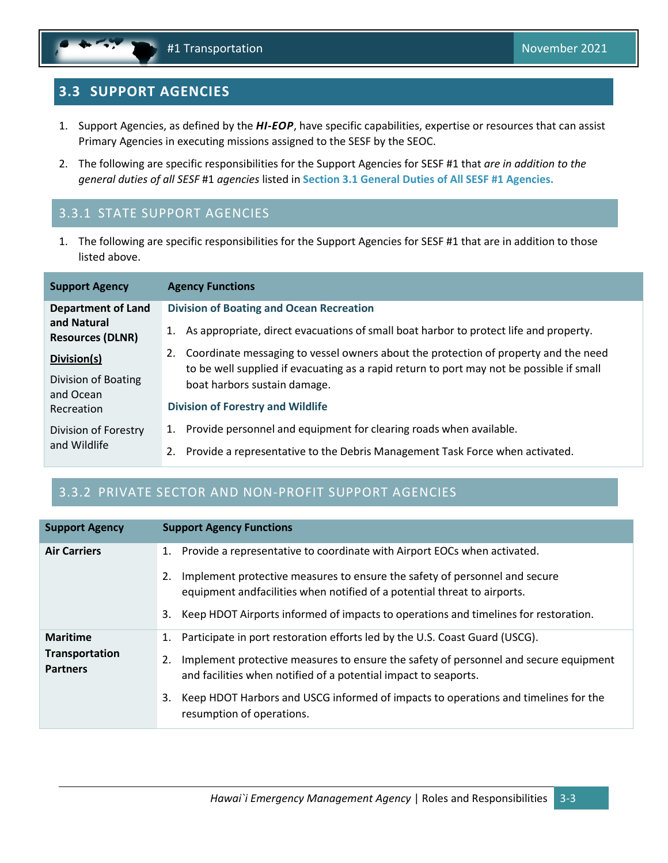## <span id="page-8-1"></span><span id="page-8-0"></span>**3.3 SUPPORT AGENCIES**

- 1. Support Agencies, as defined by the *HI-EOP*, have specific capabilities, expertise or resources that can assist Primary Agencies in executing missions assigned to the SESF by the SEOC.
- 2. The following are specific responsibilities for the Support Agencies for SESF #1 that *are in addition to the general duties of all SESF* #1 *agencies* listed in **Section [3.1](#page-6-1) [General Duties of All SESF #1](#page-6-1) Agencies.**

## 3.3.1 STATE SUPPORT AGENCIES

1. The following are specific responsibilities for the Support Agencies for SESF #1 that are in addition to those listed above.

| <b>Support Agency</b>                  | <b>Agency Functions</b>                                                                                                                                                            |
|----------------------------------------|------------------------------------------------------------------------------------------------------------------------------------------------------------------------------------|
| <b>Department of Land</b>              | <b>Division of Boating and Ocean Recreation</b>                                                                                                                                    |
| and Natural<br><b>Resources (DLNR)</b> | 1. As appropriate, direct evacuations of small boat harbor to protect life and property.                                                                                           |
| Division(s)                            | 2. Coordinate messaging to vessel owners about the protection of property and the need<br>to be well supplied if evacuating as a rapid return to port may not be possible if small |
| Division of Boating<br>and Ocean       | boat harbors sustain damage.                                                                                                                                                       |
| Recreation                             | <b>Division of Forestry and Wildlife</b>                                                                                                                                           |
| Division of Forestry                   | 1. Provide personnel and equipment for clearing roads when available.                                                                                                              |
| and Wildlife                           | Provide a representative to the Debris Management Task Force when activated.<br>2.                                                                                                 |

## 3.3.2 PRIVATE SECTOR AND NON-PROFIT SUPPORT AGENCIES

| <b>Support Agency</b>                                       | <b>Support Agency Functions</b>                                                                                                                                                                                                                    |
|-------------------------------------------------------------|----------------------------------------------------------------------------------------------------------------------------------------------------------------------------------------------------------------------------------------------------|
| <b>Air Carriers</b>                                         | 1. Provide a representative to coordinate with Airport EOCs when activated.                                                                                                                                                                        |
|                                                             | Implement protective measures to ensure the safety of personnel and secure<br>2.<br>equipment and facilities when notified of a potential threat to airports.                                                                                      |
|                                                             | Keep HDOT Airports informed of impacts to operations and timelines for restoration.<br>3.                                                                                                                                                          |
| <b>Maritime</b><br><b>Transportation</b><br><b>Partners</b> | Participate in port restoration efforts led by the U.S. Coast Guard (USCG).<br>1.<br>Implement protective measures to ensure the safety of personnel and secure equipment<br>2.<br>and facilities when notified of a potential impact to seaports. |
|                                                             | Keep HDOT Harbors and USCG informed of impacts to operations and timelines for the<br>3.<br>resumption of operations.                                                                                                                              |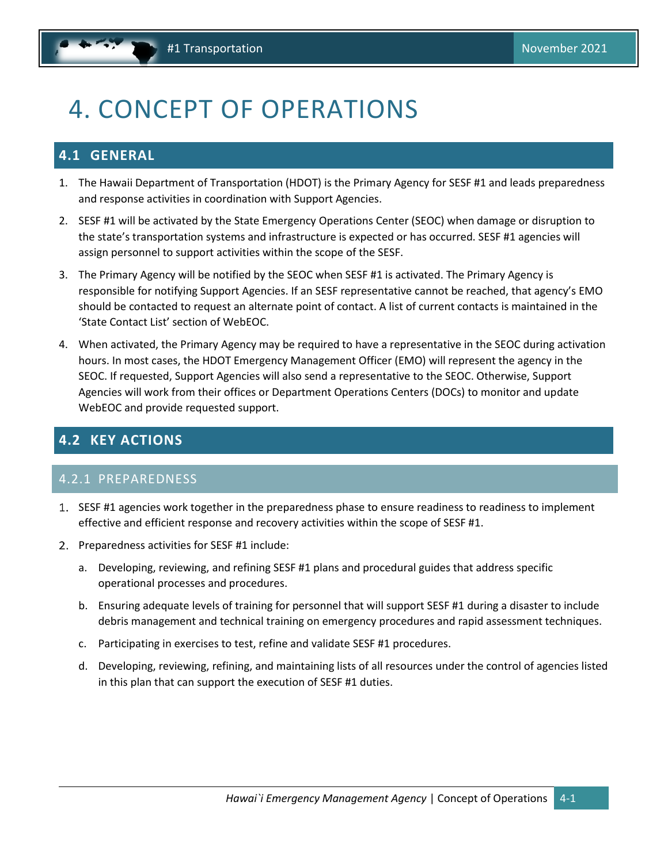## <span id="page-9-3"></span><span id="page-9-0"></span>4. CONCEPT OF OPERATIONS

## <span id="page-9-1"></span>**4.1 GENERAL**

- 1. The Hawaii Department of Transportation (HDOT) is the Primary Agency for SESF #1 and leads preparedness and response activities in coordination with Support Agencies.
- 2. SESF #1 will be activated by the State Emergency Operations Center (SEOC) when damage or disruption to the state's transportation systems and infrastructure is expected or has occurred. SESF #1 agencies will assign personnel to support activities within the scope of the SESF.
- 3. The Primary Agency will be notified by the SEOC when SESF #1 is activated. The Primary Agency is responsible for notifying Support Agencies. If an SESF representative cannot be reached, that agency's EMO should be contacted to request an alternate point of contact. A list of current contacts is maintained in the 'State Contact List' section of WebEOC.
- 4. When activated, the Primary Agency may be required to have a representative in the SEOC during activation hours. In most cases, the HDOT Emergency Management Officer (EMO) will represent the agency in the SEOC. If requested, Support Agencies will also send a representative to the SEOC. Otherwise, Support Agencies will work from their offices or Department Operations Centers (DOCs) to monitor and update WebEOC and provide requested support.

### <span id="page-9-2"></span>**4.2 KEY ACTIONS**

#### 4.2.1 PREPAREDNESS

- SESF #1 agencies work together in the preparedness phase to ensure readiness to readiness to implement effective and efficient response and recovery activities within the scope of SESF #1.
- 2. Preparedness activities for SESF #1 include:
	- a. Developing, reviewing, and refining SESF #1 plans and procedural guides that address specific operational processes and procedures.
	- b. Ensuring adequate levels of training for personnel that will support SESF #1 during a disaster to include debris management and technical training on emergency procedures and rapid assessment techniques.
	- c. Participating in exercises to test, refine and validate SESF #1 procedures.
	- d. Developing, reviewing, refining, and maintaining lists of all resources under the control of agencies listed in this plan that can support the execution of SESF #1 duties.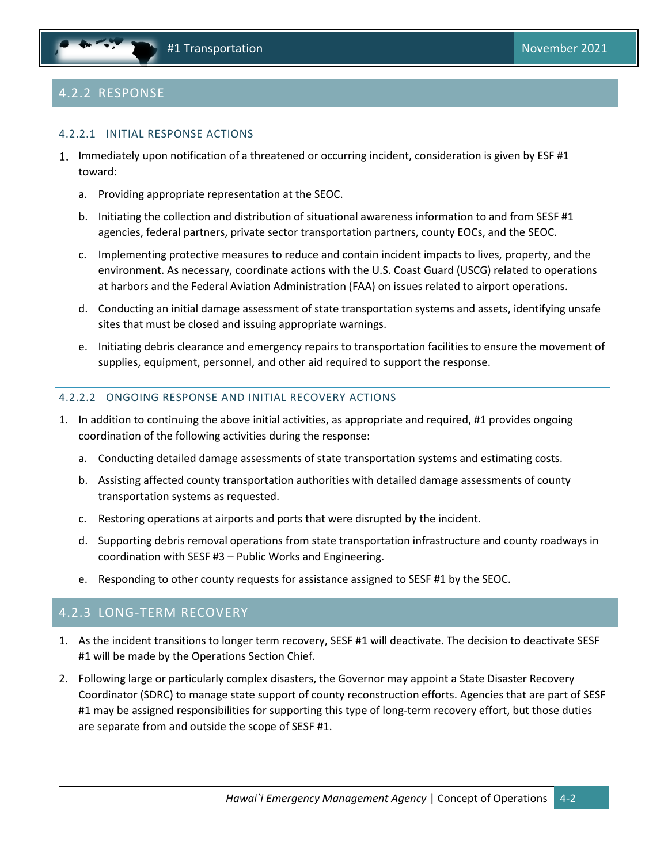

## 4.2.2 RESPONSE

#### 4.2.2.1 INITIAL RESPONSE ACTIONS

- 1. Immediately upon notification of a threatened or occurring incident, consideration is given by ESF #1 toward:
	- a. Providing appropriate representation at the SEOC.
	- b. Initiating the collection and distribution of situational awareness information to and from SESF #1 agencies, federal partners, private sector transportation partners, county EOCs, and the SEOC.
	- c. Implementing protective measures to reduce and contain incident impacts to lives, property, and the environment. As necessary, coordinate actions with the U.S. Coast Guard (USCG) related to operations at harbors and the Federal Aviation Administration (FAA) on issues related to airport operations.
	- d. Conducting an initial damage assessment of state transportation systems and assets, identifying unsafe sites that must be closed and issuing appropriate warnings.
	- e. Initiating debris clearance and emergency repairs to transportation facilities to ensure the movement of supplies, equipment, personnel, and other aid required to support the response.

#### 4.2.2.2 ONGOING RESPONSE AND INITIAL RECOVERY ACTIONS

- 1. In addition to continuing the above initial activities, as appropriate and required, #1 provides ongoing coordination of the following activities during the response:
	- a. Conducting detailed damage assessments of state transportation systems and estimating costs.
	- b. Assisting affected county transportation authorities with detailed damage assessments of county transportation systems as requested.
	- c. Restoring operations at airports and ports that were disrupted by the incident.
	- d. Supporting debris removal operations from state transportation infrastructure and county roadways in coordination with SESF #3 – Public Works and Engineering.
	- e. Responding to other county requests for assistance assigned to SESF #1 by the SEOC.

#### 4.2.3 LONG-TERM RECOVERY

- 1. As the incident transitions to longer term recovery, SESF #1 will deactivate. The decision to deactivate SESF #1 will be made by the Operations Section Chief.
- 2. Following large or particularly complex disasters, the Governor may appoint a State Disaster Recovery Coordinator (SDRC) to manage state support of county reconstruction efforts. Agencies that are part of SESF #1 may be assigned responsibilities for supporting this type of long-term recovery effort, but those duties are separate from and outside the scope of SESF #1.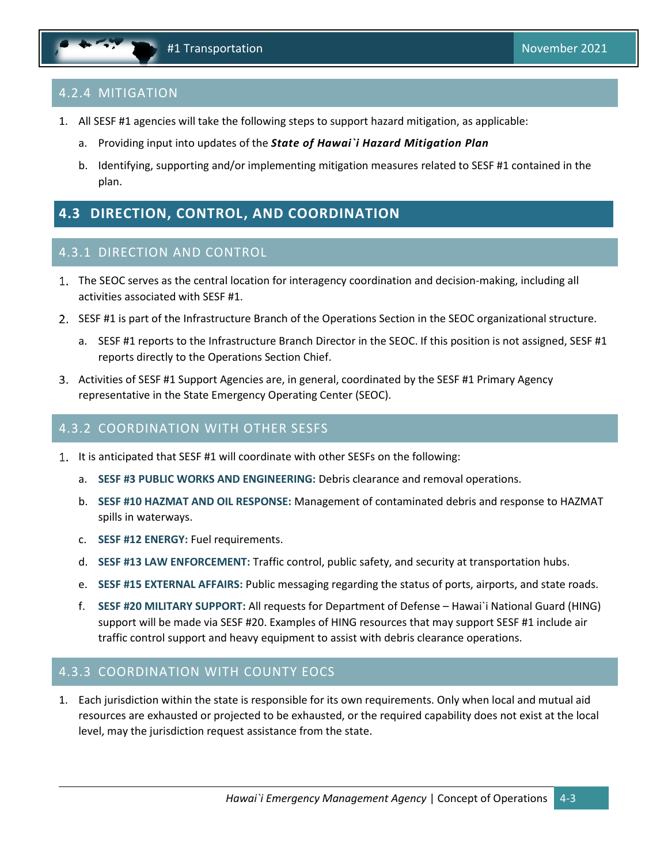### <span id="page-11-1"></span>4.2.4 MITIGATION

- 1. All SESF #1 agencies will take the following steps to support hazard mitigation, as applicable:
	- a. Providing input into updates of the *State of Hawai`i Hazard Mitigation Plan*
	- b. Identifying, supporting and/or implementing mitigation measures related to SESF #1 contained in the plan.

## <span id="page-11-0"></span>**4.3 DIRECTION, CONTROL, AND COORDINATION**

#### 4.3.1 DIRECTION AND CONTROL

- The SEOC serves as the central location for interagency coordination and decision-making, including all activities associated with SESF #1.
- 2. SESF #1 is part of the Infrastructure Branch of the Operations Section in the SEOC organizational structure.
	- a. SESF #1 reports to the Infrastructure Branch Director in the SEOC. If this position is not assigned, SESF #1 reports directly to the Operations Section Chief.
- 3. Activities of SESF #1 Support Agencies are, in general, coordinated by the SESF #1 Primary Agency representative in the State Emergency Operating Center (SEOC).

#### 4.3.2 COORDINATION WITH OTHER SESFS

- 1. It is anticipated that SESF #1 will coordinate with other SESFs on the following:
	- a. **SESF #3 PUBLIC WORKS AND ENGINEERING:** Debris clearance and removal operations.
	- b. **SESF #10 HAZMAT AND OIL RESPONSE:** Management of contaminated debris and response to HAZMAT spills in waterways.
	- c. **SESF #12 ENERGY:** Fuel requirements.
	- d. **SESF #13 LAW ENFORCEMENT:** Traffic control, public safety, and security at transportation hubs.
	- e. **SESF #15 EXTERNAL AFFAIRS:** Public messaging regarding the status of ports, airports, and state roads.
	- f. **SESF #20 MILITARY SUPPORT:** All requests for Department of Defense Hawai`i National Guard (HING) support will be made via SESF #20. Examples of HING resources that may support SESF #1 include air traffic control support and heavy equipment to assist with debris clearance operations.

#### 4.3.3 COORDINATION WITH COUNTY EOCS

1. Each jurisdiction within the state is responsible for its own requirements. Only when local and mutual aid resources are exhausted or projected to be exhausted, or the required capability does not exist at the local level, may the jurisdiction request assistance from the state.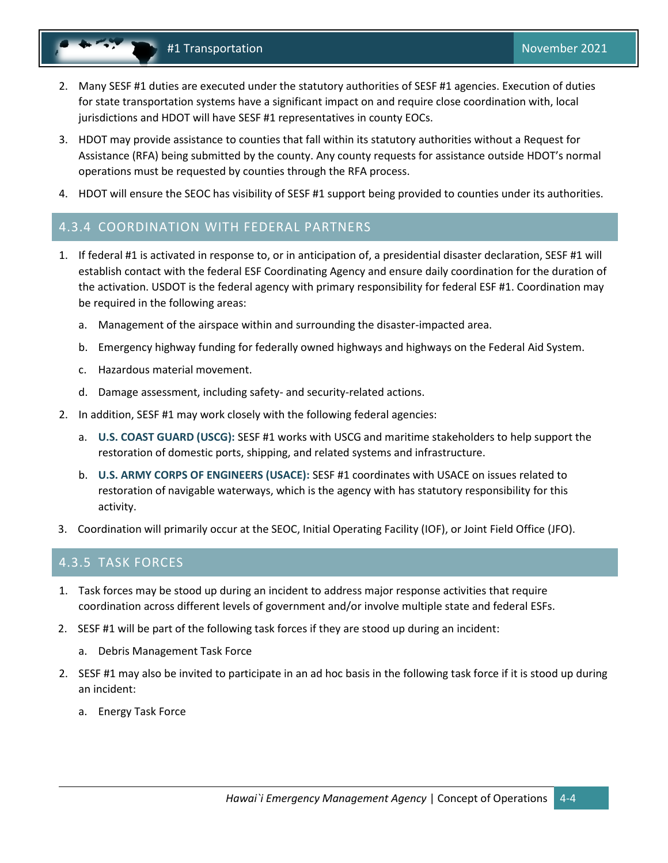- #1 Transportation November 2021
- 2. Many SESF #1 duties are executed under the statutory authorities of SESF #1 agencies. Execution of duties for state transportation systems have a significant impact on and require close coordination with, local jurisdictions and HDOT will have SESF #1 representatives in county EOCs.
- 3. HDOT may provide assistance to counties that fall within its statutory authorities without a Request for Assistance (RFA) being submitted by the county. Any county requests for assistance outside HDOT's normal operations must be requested by counties through the RFA process.
- 4. HDOT will ensure the SEOC has visibility of SESF #1 support being provided to counties under its authorities.

### 4.3.4 COORDINATION WITH FEDERAL PARTNERS

- 1. If federal #1 is activated in response to, or in anticipation of, a presidential disaster declaration, SESF #1 will establish contact with the federal ESF Coordinating Agency and ensure daily coordination for the duration of the activation. USDOT is the federal agency with primary responsibility for federal ESF #1. Coordination may be required in the following areas:
	- a. Management of the airspace within and surrounding the disaster-impacted area.
	- b. Emergency highway funding for federally owned highways and highways on the Federal Aid System.
	- c. Hazardous material movement.
	- d. Damage assessment, including safety- and security-related actions.
- 2. In addition, SESF #1 may work closely with the following federal agencies:
	- a. **U.S. COAST GUARD (USCG):** SESF #1 works with USCG and maritime stakeholders to help support the restoration of domestic ports, shipping, and related systems and infrastructure.
	- b. **U.S. ARMY CORPS OF ENGINEERS (USACE):** SESF #1 coordinates with USACE on issues related to restoration of navigable waterways, which is the agency with has statutory responsibility for this activity.
- 3. Coordination will primarily occur at the SEOC, Initial Operating Facility (IOF), or Joint Field Office (JFO).

#### 4.3.5 TASK FORCES

- 1. Task forces may be stood up during an incident to address major response activities that require coordination across different levels of government and/or involve multiple state and federal ESFs.
- 2. SESF #1 will be part of the following task forces if they are stood up during an incident:
	- a. Debris Management Task Force
- 2. SESF #1 may also be invited to participate in an ad hoc basis in the following task force if it is stood up during an incident:
	- a. Energy Task Force